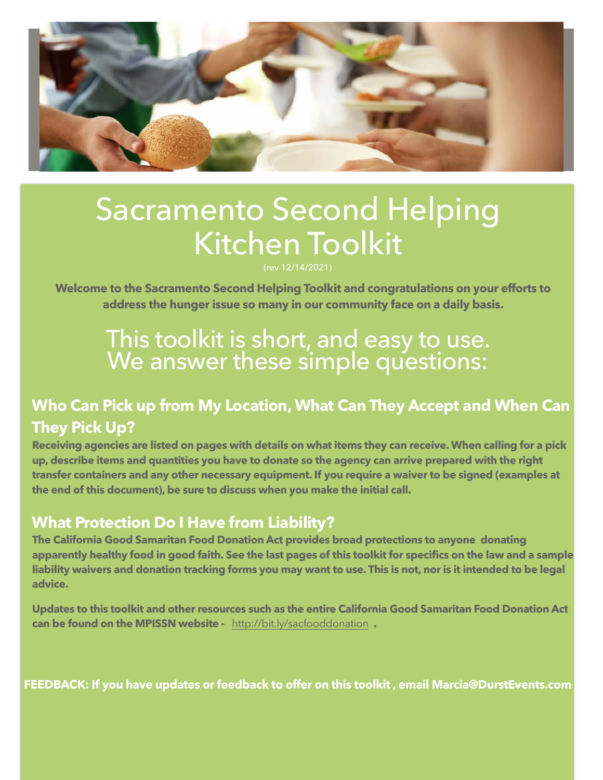

# Sacramento Second Helping Kitchen Toolkit

(rev 12/14/2021)

**Welcome to the Sacramento Second Helping Toolkit and congratulations on your efforts to address the hunger issue so many in our community face on a daily basis.**

## This toolkit is short, and easy to use. We answer these simple questions:

### **Who Can Pick up from My Location, What Can They Accept and When Can They Pick Up?**

**Receiving agencies are listed on pages with details on what items they can receive. When calling for a pick up, describe items and quantities you have to donate so the agency can arrive prepared with the right transfer containers and any other necessary equipment. If you require a waiver to be signed (examples at the end of this document), be sure to discuss when you make the initial call.**

### **What Protection Do I Have from Liability?**

**The California Good Samaritan Food Donation Act provides broad protections to anyone donating apparently healthy food in good faith. See the last pages of this toolkit for specifics on the law and a sample liability waivers and donation tracking forms you may want to use. This is not, nor is it intended to be legal advice.**

**Updates to this toolkit and other resources such as the entire California Good Samaritan Food Donation Act can be found on the MPISSN website -** <http://bit.ly/sacfooddonation> **.**

**FEEDBACK: If you have updates or feedback to offer on this toolkit , email Marcia@DurstEvents.com**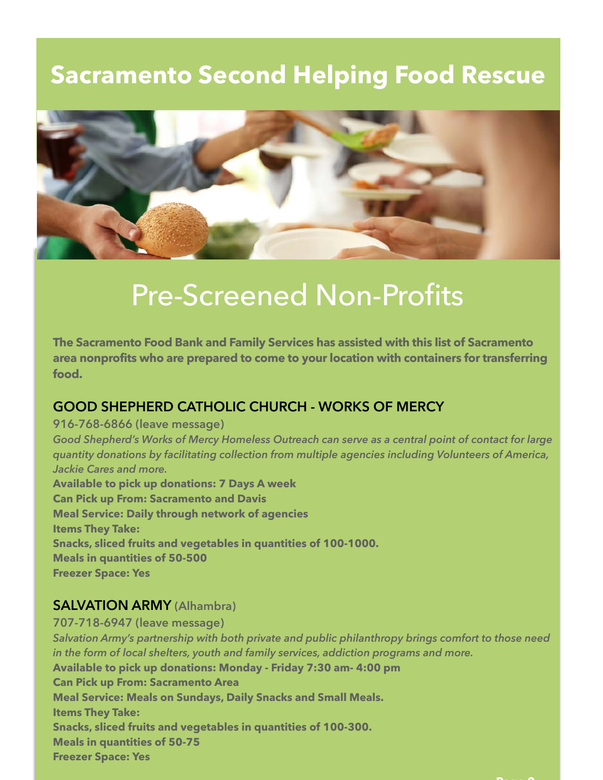## **Sacramento Second Helping Food Rescue**



# Pre-Screened Non-Profits

**The Sacramento Food Bank and Family Services has assisted with this list of Sacramento area nonprofits who are prepared to come to your location with containers for transferring food.** 

### **GOOD SHEPHERD CATHOLIC CHURCH - WORKS OF MERCY**

**916-768-6866 (leave message)** *Good Shepherd's Works of Mercy Homeless Outreach can serve as a central point of contact for large quantity donations by facilitating collection from multiple agencies including Volunteers of America, Jackie Cares and more.* **Available to pick up donations: 7 Days A week Can Pick up From: Sacramento and Davis Meal Service: Daily through network of agencies Items They Take: Snacks, sliced fruits and vegetables in quantities of 100-1000. Meals in quantities of 50-500 Freezer Space: Yes**

#### **SALVATION ARMY (Alhambra)**

**707-718-6947 (leave message)** *Salvation Army's partnership with both private and public philanthropy brings comfort to those need in the form of local shelters, youth and family services, addiction programs and more.* **Available to pick up donations: Monday - Friday 7:30 am- 4:00 pm Can Pick up From: Sacramento Area Meal Service: Meals on Sundays, Daily Snacks and Small Meals. Items They Take: Snacks, sliced fruits and vegetables in quantities of 100-300. Meals in quantities of 50-75 Freezer Space: Yes**

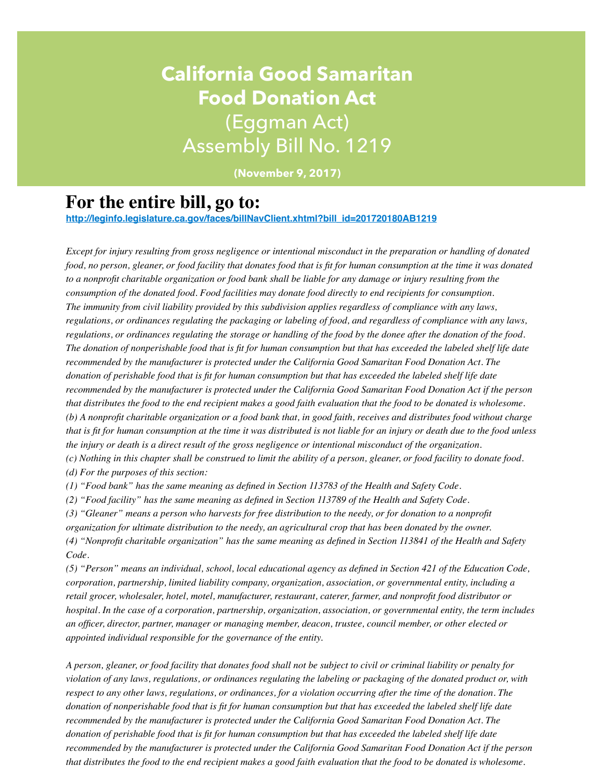## **California Good Samaritan Food Donation Act**  (Eggman Act) Assembly Bill No. 1219

**(November 9, 2017)**

### **For the entire bill, go to:**

**http://leginfo.legislature.ca.gov/faces/billNavClient.xhtml?bill\_id=201720180AB1219**

*Except for injury resulting from gross negligence or intentional misconduct in the preparation or handling of donated*  food, no person, gleaner, or food facility that donates food that is fit for human consumption at the time it was donated *to a nonprofit charitable organization or food bank shall be liable for any damage or injury resulting from the consumption of the donated food. Food facilities may donate food directly to end recipients for consumption. The immunity from civil liability provided by this subdivision applies regardless of compliance with any laws, regulations, or ordinances regulating the packaging or labeling of food, and regardless of compliance with any laws, regulations, or ordinances regulating the storage or handling of the food by the donee after the donation of the food. The donation of nonperishable food that is fit for human consumption but that has exceeded the labeled shelf life date recommended by the manufacturer is protected under the California Good Samaritan Food Donation Act. The donation of perishable food that is fit for human consumption but that has exceeded the labeled shelf life date recommended by the manufacturer is protected under the California Good Samaritan Food Donation Act if the person that distributes the food to the end recipient makes a good faith evaluation that the food to be donated is wholesome. (b) A nonprofit charitable organization or a food bank that, in good faith, receives and distributes food without charge that is fit for human consumption at the time it was distributed is not liable for an injury or death due to the food unless the injury or death is a direct result of the gross negligence or intentional misconduct of the organization. (c) Nothing in this chapter shall be construed to limit the ability of a person, gleaner, or food facility to donate food. (d) For the purposes of this section:* 

*(1) "Food bank" has the same meaning as defined in Section 113783 of the Health and Safety Code.* 

*(2) "Food facility" has the same meaning as defined in Section 113789 of the Health and Safety Code.* 

*(3) "Gleaner" means a person who harvests for free distribution to the needy, or for donation to a nonprofit organization for ultimate distribution to the needy, an agricultural crop that has been donated by the owner. (4) "Nonprofit charitable organization" has the same meaning as defined in Section 113841 of the Health and Safety Code.* 

*(5) "Person" means an individual, school, local educational agency as defined in Section 421 of the Education Code, corporation, partnership, limited liability company, organization, association, or governmental entity, including a retail grocer, wholesaler, hotel, motel, manufacturer, restaurant, caterer, farmer, and nonprofit food distributor or hospital. In the case of a corporation, partnership, organization, association, or governmental entity, the term includes an officer, director, partner, manager or managing member, deacon, trustee, council member, or other elected or appointed individual responsible for the governance of the entity.* 

*A person, gleaner, or food facility that donates food shall not be subject to civil or criminal liability or penalty for violation of any laws, regulations, or ordinances regulating the labeling or packaging of the donated product or, with respect to any other laws, regulations, or ordinances, for a violation occurring after the time of the donation. The donation of nonperishable food that is fit for human consumption but that has exceeded the labeled shelf life date recommended by the manufacturer is protected under the California Good Samaritan Food Donation Act. The donation of perishable food that is fit for human consumption but that has exceeded the labeled shelf life date recommended by the manufacturer is protected under the California Good Samaritan Food Donation Act if the person that distributes the food to the end recipient makes a good faith evaluation that the food to be donated is wholesome.*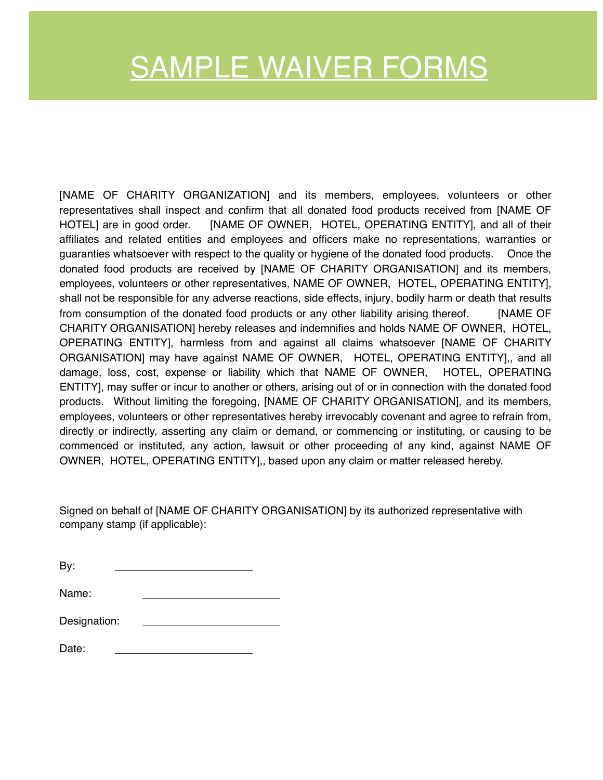# SAMPLE WAIVER FORMS

[NAME OF CHARITY ORGANIZATION] and its members, employees, volunteers or other representatives shall inspect and confirm that all donated food products received from [NAME OF HOTEL] are in good order. [NAME OF OWNER, HOTEL, OPERATING ENTITY], and all of their affiliates and related entities and employees and officers make no representations, warranties or guaranties whatsoever with respect to the quality or hygiene of the donated food products. Once the donated food products are received by [NAME OF CHARITY ORGANISATION] and its members, employees, volunteers or other representatives, NAME OF OWNER, HOTEL, OPERATING ENTITY], shall not be responsible for any adverse reactions, side effects, injury, bodily harm or death that results from consumption of the donated food products or any other liability arising thereof. [NAME OF CHARITY ORGANISATION] hereby releases and indemnifies and holds NAME OF OWNER, HOTEL, OPERATING ENTITY], harmless from and against all claims whatsoever [NAME OF CHARITY ORGANISATION] may have against NAME OF OWNER, HOTEL, OPERATING ENTITY],, and all damage, loss, cost, expense or liability which that NAME OF OWNER, HOTEL, OPERATING ENTITY], may suffer or incur to another or others, arising out of or in connection with the donated food products. Without limiting the foregoing, [NAME OF CHARITY ORGANISATION], and its members, employees, volunteers or other representatives hereby irrevocably covenant and agree to refrain from, directly or indirectly, asserting any claim or demand, or commencing or instituting, or causing to be commenced or instituted, any action, lawsuit or other proceeding of any kind, against NAME OF OWNER, HOTEL, OPERATING ENTITY],, based upon any claim or matter released hereby.

Signed on behalf of [NAME OF CHARITY ORGANISATION] by its authorized representative with company stamp (if applicable):

| Name: |  |
|-------|--|
|       |  |

| Designation: |  |
|--------------|--|
|              |  |

| Date: |  |
|-------|--|
|       |  |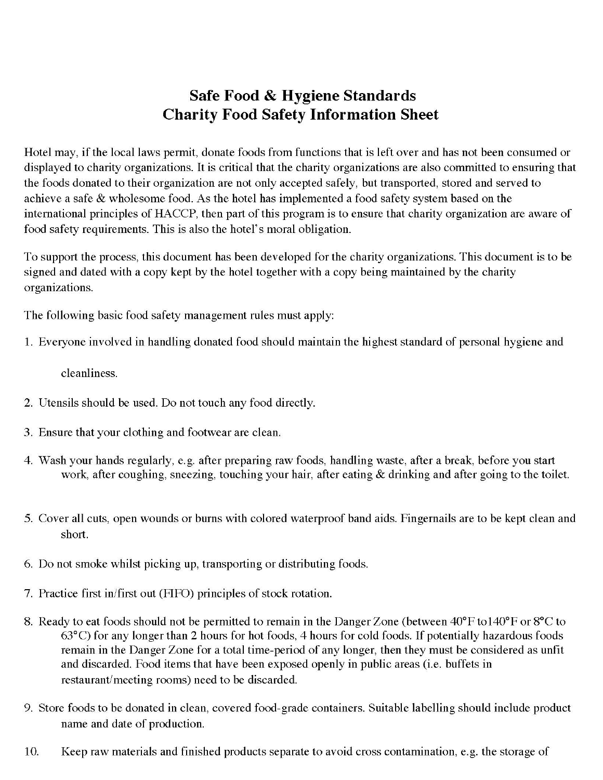### Safe Food & Hygiene Standards **Charity Food Safety Information Sheet**

Hotel may, if the local laws permit, donate foods from functions that is left over and has not been consumed or displayed to charity organizations. It is critical that the charity organizations are also committed to ensuring that the foods donated to their organization are not only accepted safely, but transported, stored and served to achieve a safe & wholesome food. As the hotel has implemented a food safety system based on the international principles of HACCP, then part of this program is to ensure that charity organization are aware of food safety requirements. This is also the hotel's moral obligation.

To support the process, this document has been developed for the charity organizations. This document is to be signed and dated with a copy kept by the hotel together with a copy being maintained by the charity organizations.

The following basic food safety management rules must apply:

1. Everyone involved in handling donated food should maintain the highest standard of personal hygiene and

cleanliness.

- 2. Utensils should be used. Do not touch any food directly.
- 3. Ensure that your clothing and footwear are clean.
- 4. Wash your hands regularly, e.g. after preparing raw foods, handling waste, after a break, before you start work, after coughing, sneezing, touching your hair, after eating & drinking and after going to the toilet.
- 5. Cover all cuts, open wounds or burns with colored waterproof band aids. Fingernails are to be kept clean and short.
- 6. Do not smoke whilst picking up, transporting or distributing foods.
- 7. Practice first in/first out (FIFO) principles of stock rotation.
- 8. Ready to eat foods should not be permitted to remain in the Danger Zone (between 40°F to 140°F or 8°C to 63°C) for any longer than 2 hours for hot foods, 4 hours for cold foods. If potentially hazardous foods remain in the Danger Zone for a total time-period of any longer, then they must be considered as unfit and discarded. Food items that have been exposed openly in public areas (i.e. buffets in restaurant/meeting rooms) need to be discarded.
- 9. Store foods to be donated in clean, covered food-grade containers. Suitable labelling should include product name and date of production.
- Keep raw materials and finished products separate to avoid cross contamination, e.g. the storage of 10.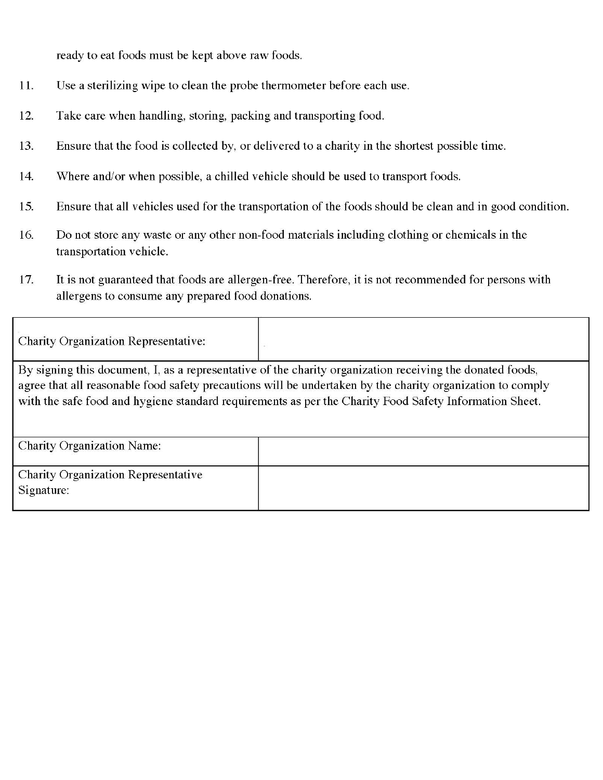ready to eat foods must be kept above raw foods.

- 11. Use a sterilizing wipe to clean the probe thermometer before each use.
- 12. Take care when handling, storing, packing and transporting food.
- Ensure that the food is collected by, or delivered to a charity in the shortest possible time. 13.
- Where and/or when possible, a chilled vehicle should be used to transport foods. 14.
- Ensure that all vehicles used for the transportation of the foods should be clean and in good condition. 15.
- 16. Do not store any waste or any other non-food materials including clothing or chemicals in the transportation vehicle.
- It is not guaranteed that foods are allergen-free. Therefore, it is not recommended for persons with 17. allergens to consume any prepared food donations.

**Charity Organization Representative:** 

By signing this document, I, as a representative of the charity organization receiving the donated foods, agree that all reasonable food safety precautions will be undertaken by the charity organization to comply with the safe food and hygiene standard requirements as per the Charity Food Safety Information Sheet.

| <b>Charity Organization Name:</b>                        |  |
|----------------------------------------------------------|--|
| <b>Charity Organization Representative</b><br>Signature: |  |